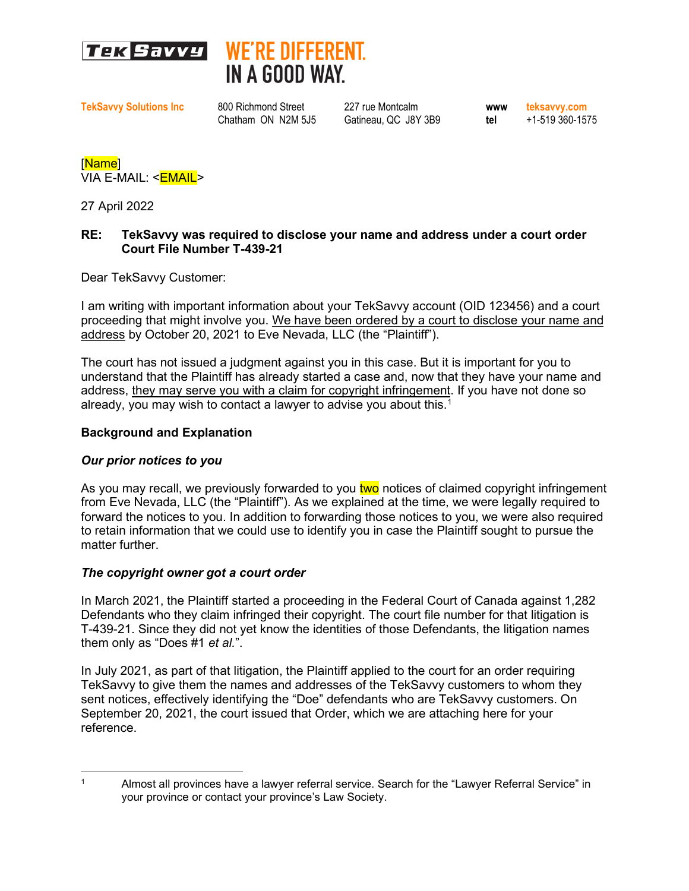



**TekSavvy Solutions Inc** 800 Richmond Street 227 rue Montcalm **www teksavvy.com**

Chatham ON N2M 5J5 Gatineau, QC J8Y 3B9 **tel** +1-519 360-1575

[Name] VIA E-MAIL: <**EMAIL>** 

27 April 2022

## **RE: TekSavvy was required to disclose your name and address under a court order Court File Number T-439-21**

Dear TekSavvy Customer:

I am writing with important information about your TekSavvy account (OID 123456) and a court proceeding that might involve you. We have been ordered by a court to disclose your name and address by October 20, 2021 to Eve Nevada, LLC (the "Plaintiff").

The court has not issued a judgment against you in this case. But it is important for you to understand that the Plaintiff has already started a case and, now that they have your name and address, they may serve you with a claim for copyright infringement. If you have not done so already, you may wish to contact a lawyer to advise you about this.<sup>[1](#page-0-0)</sup>

#### **Background and Explanation**

# *Our prior notices to you*

As you may recall, we previously forwarded to you two notices of claimed copyright infringement from Eve Nevada, LLC (the "Plaintiff"). As we explained at the time, we were legally required to forward the notices to you. In addition to forwarding those notices to you, we were also required to retain information that we could use to identify you in case the Plaintiff sought to pursue the matter further.

# *The copyright owner got a court order*

In March 2021, the Plaintiff started a proceeding in the Federal Court of Canada against 1,282 Defendants who they claim infringed their copyright. The court file number for that litigation is T-439-21. Since they did not yet know the identities of those Defendants, the litigation names them only as "Does #1 *et al.*".

In July 2021, as part of that litigation, the Plaintiff applied to the court for an order requiring TekSavvy to give them the names and addresses of the TekSavvy customers to whom they sent notices, effectively identifying the "Doe" defendants who are TekSavvy customers. On September 20, 2021, the court issued that Order, which we are attaching here for your reference.

<span id="page-0-0"></span><sup>&</sup>lt;sup>1</sup> Almost all provinces have a lawyer referral service. Search for the "Lawyer Referral Service" in your province or contact your province's Law Society.